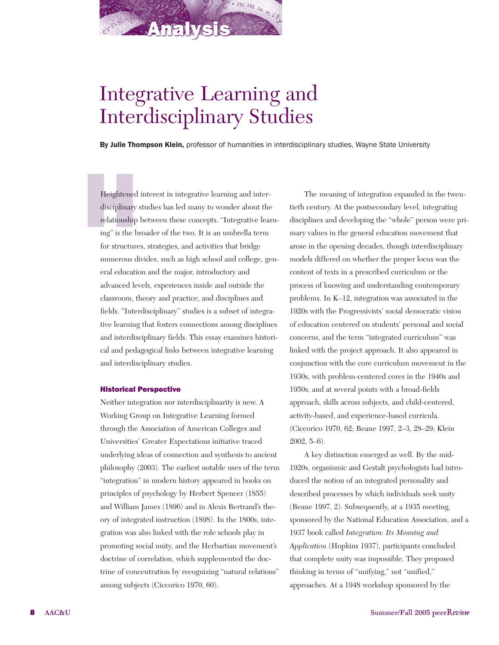

# Integrative Learning and Interdisciplinary Studies

By Julie Thompson Klein, professor of humanities in interdisciplinary studies, Wayne State University

Heightened<br>disciplinary<br>relationship<br>ing" is the b Heightened interest in integrative learning and interdisciplinary studies has led many to wonder about the relationship between these concepts. "Integrative learning" is the broader of the two. It is an umbrella term for structures, strategies, and activities that bridge numerous divides, such as high school and college, general education and the major, introductory and advanced levels, experiences inside and outside the classroom, theory and practice, and disciplines and fields. "Interdisciplinary" studies is a subset of integrative learning that fosters connections among disciplines and interdisciplinary fields. This essay examines historical and pedagogical links between integrative learning and interdisciplinary studies.

### Historical Perspective

Neither integration nor interdisciplinarity is new. A Working Group on Integrative Learning formed through the Association of American Colleges and Universities' Greater Expectations initiative traced underlying ideas of connection and synthesis to ancient philosophy (2003). The earliest notable uses of the term "integration" in modern history appeared in books on principles of psychology by Herbert Spencer (1855) and William James (1896) and in Alexis Bertrand's theory of integrated instruction (1898). In the 1800s, integration was also linked with the role schools play in promoting social unity, and the Herbartian movement's doctrine of correlation, which supplemented the doctrine of concentration by recognizing "natural relations" among subjects (Ciccorico 1970, 60).

The meaning of integration expanded in the twentieth century. At the postsecondary level, integrating disciplines and developing the "whole" person were primary values in the general education movement that arose in the opening decades, though interdisciplinary models differed on whether the proper locus was the content of texts in a prescribed curriculum or the process of knowing and understanding contemporary problems. In K–12, integration was associated in the 1920s with the Progressivists' social democratic vision of education centered on students' personal and social concerns, and the term "integrated curriculum" was linked with the project approach. It also appeared in conjunction with the core curriculum movement in the 1930s, with problem-centered cores in the 1940s and 1950s, and at several points with a broad-fields approach, skills across subjects, and child-centered, activity-based, and experience-based curricula. (Ciccorico 1970, 62; Beane 1997, 2–3, 28–29; Klein 2002, 5–6).

A key distinction emerged as well. By the mid-1920s, organismic and Gestalt psychologists had introduced the notion of an integrated personality and described processes by which individuals seek unity (Beane 1997, 2). Subsequently, at a 1935 meeting, sponsored by the National Education Association, and a 1937 book called *Integration: Its Meaning and Application* (Hopkins 1937), participants concluded that complete unity was impossible. They proposed thinking in terms of "unifying," not "unified," approaches. At a 1948 workshop sponsored by the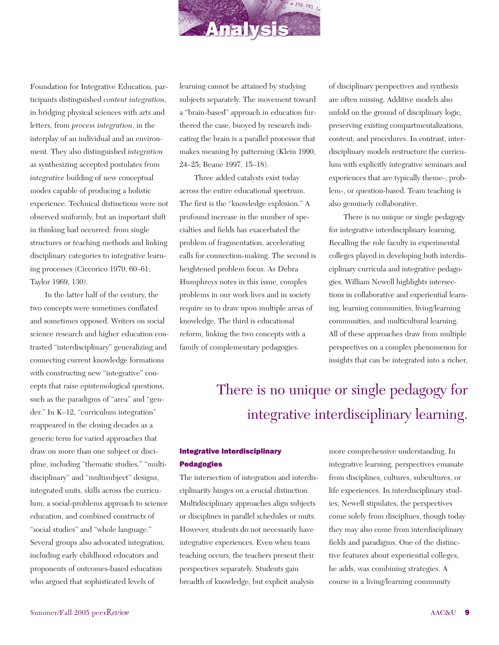

Foundation for Integrative Education, participants distinguished *content integration*, in bridging physical sciences with arts and letters, from *process integration*, in the interplay of an individual and an environment. They also distinguished *integration* as synthesizing accepted postulates from *integrative* building of new conceptual modes capable of producing a holistic experience. Technical distinctions were not observed uniformly, but an important shift in thinking had occurred: from single structures or teaching methods and linking disciplinary categories to integrative learning processes (Ciccorico 1970, 60–61; Taylor 1969, 130).

In the latter half of the century, the two concepts were sometimes conflated and sometimes opposed. Writers on social science research and higher education contrasted "interdisciplinary" generalizing and connecting current knowledge formations with constructing new "integrative" concepts that raise epistemological questions, such as the paradigms of "area" and "gender." In K–12, "curriculum integration" reappeared in the closing decades as a generic term for varied approaches that draw on more than one subject or discipline, including "thematic studies," "multidisciplinary" and "multisubject" designs, integrated units, skills across the curriculum, a social-problems approach to science education, and combined constructs of "social studies" and "whole language." Several groups also advocated integration, including early childhood educators and proponents of outcomes-based education who argued that sophisticated levels of

learning cannot be attained by studying subjects separately. The movement toward a "brain-based" approach in education furthered the case, buoyed by research indicating the brain is a parallel processor that makes meaning by patterning (Klein 1990, 24–25; Beane 1997, 15–18).

Three added catalysts exist today across the entire educational spectrum. The first is the "knowledge explosion." A profound increase in the number of specialties and fields has exacerbated the problem of fragmentation, accelerating calls for connection-making. The second is heightened problem focus. As Debra Humphreys notes in this issue, complex problems in our work lives and in society require us to draw upon multiple areas of knowledge. The third is educational reform, linking the two concepts with a family of complementary pedagogies.

of disciplinary perspectives and synthesis are often missing. Additive models also unfold on the ground of disciplinary logic, preserving existing compartmentalizations, content, and procedures. In contrast, interdisciplinary models restructure the curriculum with explicitly integrative seminars and experiences that are typically theme-, problem-, or question-based. Team teaching is also genuinely collaborative.

There is no unique or single pedagogy for integrative interdisciplinary learning. Recalling the role faculty in experimental colleges played in developing both interdisciplinary curricula and integrative pedagogies, William Newell highlights intersections in collaborative and experiential learning, learning communities, living/learning communities, and multicultural learning. All of these approaches draw from multiple perspectives on a complex phenomenon for insights that can be integrated into a richer,

## There is no unique or single pedagogy for integrative interdisciplinary learning.

### Integrative Interdisciplinary Pedagogies

The intersection of integration and interdisciplinarity hinges on a crucial distinction. Multidisciplinary approaches align subjects or disciplines in parallel schedules or units. However, students do not necessarily have integrative experiences. Even when team teaching occurs, the teachers present their perspectives separately. Students gain breadth of knowledge, but explicit analysis

more comprehensive understanding. In integrative learning, perspectives emanate from disciplines, cultures, subcultures, or life experiences. In interdisciplinary studies, Newell stipulates, the perspectives come solely from disciplines, though today they may also come from interdisciplinary fields and paradigms. One of the distinctive features about experiential colleges, he adds, was combining strategies. A course in a living/learning community